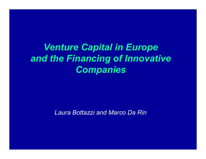# *Venture Capital in Europe and the Financing of Innovative Companies*

*Laura Bottazzi and Marco Da Rin*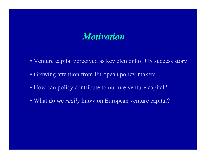## *Motivation*

- Venture capital perceived as key element of US success story
- Growing attention from European policy-makers
- How can policy contribute to nurture venture capital?
- What do we *really* know on European venture capital?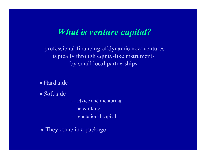# *What is venture capital?*

professional financing of dynamic new ventures typically through equity-like instruments by small local partnerships

• Hard side

• Soft side

- advice and mentoring
- networking
- reputational capital
- They come in a package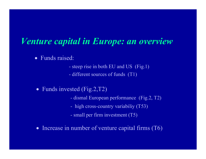# *Venture capital in Europe: an overview*

- Funds raised:
	- steep rise in both EU and US (Fig.1)
	- different sources of funds (T1)
- Funds invested  $(Fig.2, T2)$ 
	- dismal European performance (Fig.2, T2)
	- high cross-country variabiliy (T53)
	- small per firm investment (T5)
- Increase in number of venture capital firms (T6)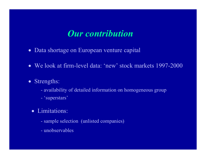# *Our contribution*

- Data shortage on European venture capital
- We look at firm-level data: 'new' stock markets 1997-2000
- Strengths:
	- availability of detailed information on homogeneous group
	- 'superstars'
	- Limitations:
		- sample selection (unlisted companies)
		- unobservables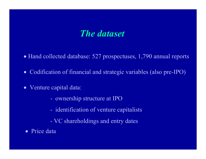## *The dataset*

- Hand collected database: 527 prospectuses, 1,790 annual reports
- Codification of financial and strategic variables (also pre-IPO)
- Venture capital data:
	- ownership structure at IPO
	- identification of venture capitalists
	- VC shareholdings and entry dates
- Price data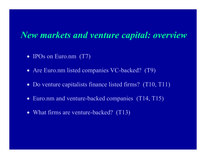#### *New markets and venture capital: overview*

- IPOs on Euro.nm (T7)
- Are Euro.nm listed companies VC-backed? (T9)
- Do venture capitalists finance listed firms? (T10, T11)
- Euro.nm and venture-backed companies (T14, T15)
- What firms are venture-backed? (T13)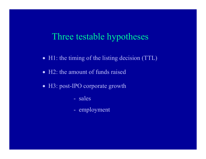#### Three testable hypotheses

- H1: the timing of the listing decision (TTL)
- H2: the amount of funds raised
- H3: post-IPO corporate growth
	- sales
	- employment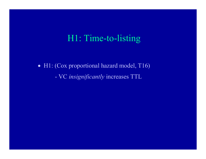## H1: Time-to-listing

• H1: (Cox proportional hazard model, T16) - VC *insignificantly* increases TTL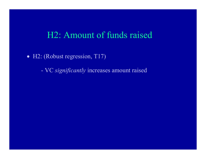#### H2: Amount of funds raised

• H2: (Robust regression, T17)

- VC *significantly* increases amount raised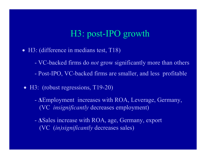# H3: post-IPO growth

- H3: (difference in medians test, T18)
	- VC-backed firms do *not* grow significantly more than others
	- Post-IPO, VC-backed firms are smaller, and less profitable
- H3: (robust regressions, T19-20)
	- **∆**Employment increases with ROA, Leverage, Germany, (VC *insignificantly* decreases employment)
	- **∆**Sales increase with ROA, age, Germany, export (VC (*in)significantly* decreases sales)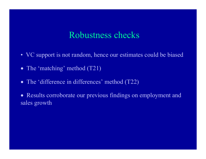### Robustness checks

- VC support is not random, hence our estimates could be biased
- The 'matching' method (T21)
- The 'difference in differences' method (T22)

• Results corroborate our previous findings on employment and sales growth